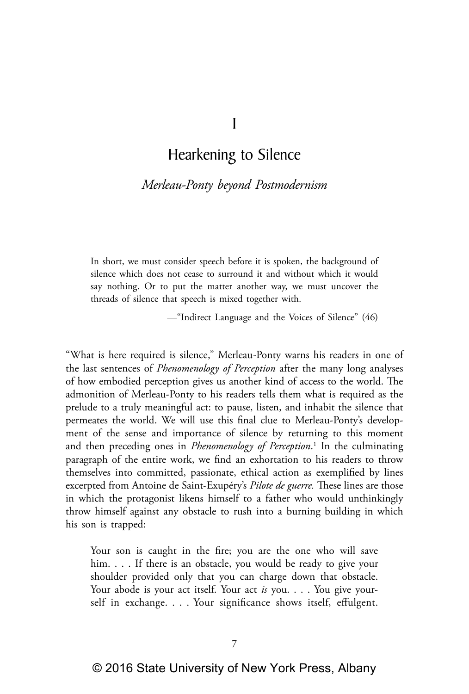I

## Hearkening to Silence

## *Merleau-Ponty beyond Postmodernism*

In short, we must consider speech before it is spoken, the background of silence which does not cease to surround it and without which it would say nothing. Or to put the matter another way, we must uncover the threads of silence that speech is mixed together with.

—"Indirect Language and the Voices of Silence" (46)

"What is here required is silence," Merleau-Ponty warns his readers in one of the last sentences of *Phenomenology of Perception* after the many long analyses of how embodied perception gives us another kind of access to the world. The admonition of Merleau-Ponty to his readers tells them what is required as the prelude to a truly meaningful act: to pause, listen, and inhabit the silence that permeates the world. We will use this final clue to Merleau-Ponty's development of the sense and importance of silence by returning to this moment and then preceding ones in *Phenomenology of Perception*. 1 In the culminating paragraph of the entire work, we find an exhortation to his readers to throw themselves into committed, passionate, ethical action as exemplified by lines excerpted from Antoine de Saint-Exupéry's *Pilote de guerre.* These lines are those in which the protagonist likens himself to a father who would unthinkingly throw himself against any obstacle to rush into a burning building in which his son is trapped:

Your son is caught in the fire; you are the one who will save him. . . . If there is an obstacle, you would be ready to give your shoulder provided only that you can charge down that obstacle. Your abode is your act itself. Your act *is* you. . . . You give yourself in exchange. . . . Your significance shows itself, effulgent.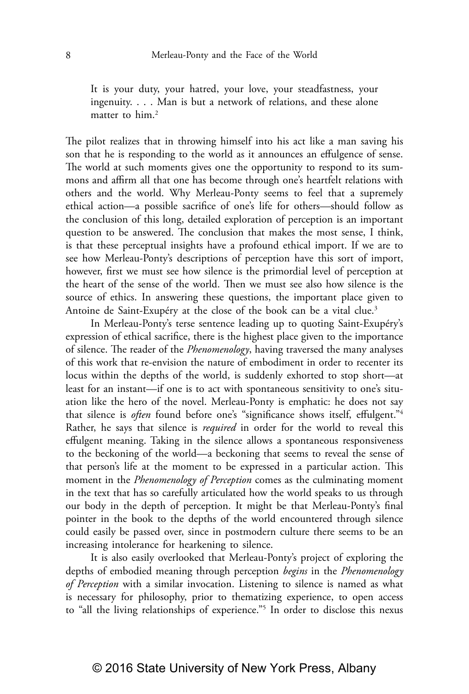It is your duty, your hatred, your love, your steadfastness, your ingenuity. . . . Man is but a network of relations, and these alone matter to  $him<sup>2</sup>$ 

The pilot realizes that in throwing himself into his act like a man saving his son that he is responding to the world as it announces an effulgence of sense. The world at such moments gives one the opportunity to respond to its summons and affirm all that one has become through one's heartfelt relations with others and the world. Why Merleau-Ponty seems to feel that a supremely ethical action—a possible sacrifice of one's life for others—should follow as the conclusion of this long, detailed exploration of perception is an important question to be answered. The conclusion that makes the most sense, I think, is that these perceptual insights have a profound ethical import. If we are to see how Merleau-Ponty's descriptions of perception have this sort of import, however, first we must see how silence is the primordial level of perception at the heart of the sense of the world. Then we must see also how silence is the source of ethics. In answering these questions, the important place given to Antoine de Saint-Exupéry at the close of the book can be a vital clue.<sup>3</sup>

In Merleau-Ponty's terse sentence leading up to quoting Saint-Exupéry's expression of ethical sacrifice, there is the highest place given to the importance of silence. The reader of the *Phenomenology*, having traversed the many analyses of this work that re-envision the nature of embodiment in order to recenter its locus within the depths of the world, is suddenly exhorted to stop short—at least for an instant—if one is to act with spontaneous sensitivity to one's situation like the hero of the novel. Merleau-Ponty is emphatic: he does not say that silence is *often* found before one's "significance shows itself, effulgent."<sup>4</sup> Rather, he says that silence is *required* in order for the world to reveal this effulgent meaning. Taking in the silence allows a spontaneous responsiveness to the beckoning of the world—a beckoning that seems to reveal the sense of that person's life at the moment to be expressed in a particular action. This moment in the *Phenomenology of Perception* comes as the culminating moment in the text that has so carefully articulated how the world speaks to us through our body in the depth of perception. It might be that Merleau-Ponty's final pointer in the book to the depths of the world encountered through silence could easily be passed over, since in postmodern culture there seems to be an increasing intolerance for hearkening to silence.

It is also easily overlooked that Merleau-Ponty's project of exploring the depths of embodied meaning through perception *begins* in the *Phenomenology of Perception* with a similar invocation. Listening to silence is named as what is necessary for philosophy, prior to thematizing experience, to open access to "all the living relationships of experience."5 In order to disclose this nexus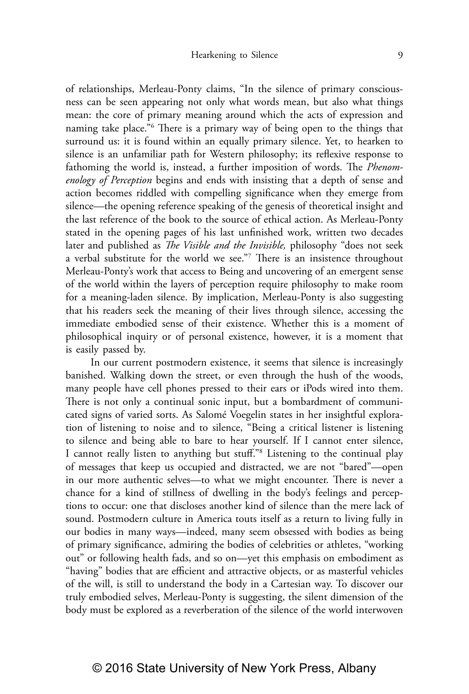of relationships, Merleau-Ponty claims, "In the silence of primary consciousness can be seen appearing not only what words mean, but also what things mean: the core of primary meaning around which the acts of expression and naming take place."6 There is a primary way of being open to the things that surround us: it is found within an equally primary silence. Yet, to hearken to silence is an unfamiliar path for Western philosophy; its reflexive response to fathoming the world is, instead, a further imposition of words. The *Phenomenology of Perception* begins and ends with insisting that a depth of sense and action becomes riddled with compelling significance when they emerge from silence—the opening reference speaking of the genesis of theoretical insight and the last reference of the book to the source of ethical action. As Merleau-Ponty stated in the opening pages of his last unfinished work, written two decades later and published as *The Visible and the Invisible,* philosophy "does not seek a verbal substitute for the world we see."7 There is an insistence throughout Merleau-Ponty's work that access to Being and uncovering of an emergent sense of the world within the layers of perception require philosophy to make room for a meaning-laden silence. By implication, Merleau-Ponty is also suggesting that his readers seek the meaning of their lives through silence, accessing the immediate embodied sense of their existence. Whether this is a moment of philosophical inquiry or of personal existence, however, it is a moment that is easily passed by.

In our current postmodern existence, it seems that silence is increasingly banished. Walking down the street, or even through the hush of the woods, many people have cell phones pressed to their ears or iPods wired into them. There is not only a continual sonic input, but a bombardment of communicated signs of varied sorts. As Salomé Voegelin states in her insightful exploration of listening to noise and to silence, "Being a critical listener is listening to silence and being able to bare to hear yourself. If I cannot enter silence, I cannot really listen to anything but stuff."8 Listening to the continual play of messages that keep us occupied and distracted, we are not "bared"—open in our more authentic selves—to what we might encounter. There is never a chance for a kind of stillness of dwelling in the body's feelings and perceptions to occur: one that discloses another kind of silence than the mere lack of sound. Postmodern culture in America touts itself as a return to living fully in our bodies in many ways—indeed, many seem obsessed with bodies as being of primary significance, admiring the bodies of celebrities or athletes, "working out" or following health fads, and so on—yet this emphasis on embodiment as "having" bodies that are efficient and attractive objects, or as masterful vehicles of the will, is still to understand the body in a Cartesian way. To discover our truly embodied selves, Merleau-Ponty is suggesting, the silent dimension of the body must be explored as a reverberation of the silence of the world interwoven

## © 2016 State University of New York Press, Albany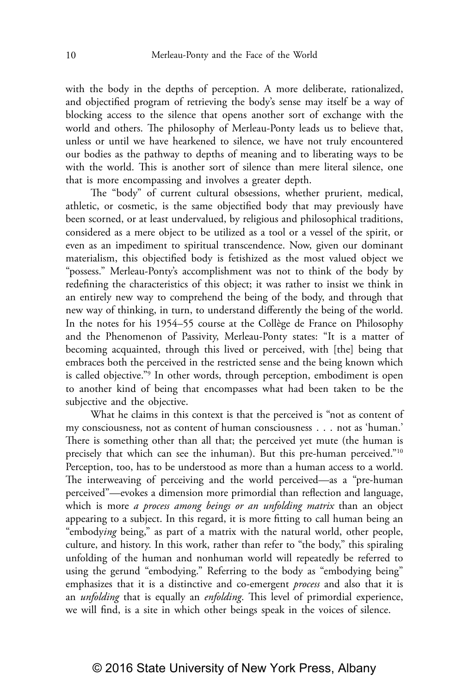with the body in the depths of perception. A more deliberate, rationalized, and objectified program of retrieving the body's sense may itself be a way of blocking access to the silence that opens another sort of exchange with the world and others. The philosophy of Merleau-Ponty leads us to believe that, unless or until we have hearkened to silence, we have not truly encountered our bodies as the pathway to depths of meaning and to liberating ways to be with the world. This is another sort of silence than mere literal silence, one that is more encompassing and involves a greater depth.

The "body" of current cultural obsessions, whether prurient, medical, athletic, or cosmetic, is the same objectified body that may previously have been scorned, or at least undervalued, by religious and philosophical traditions, considered as a mere object to be utilized as a tool or a vessel of the spirit, or even as an impediment to spiritual transcendence. Now, given our dominant materialism, this objectified body is fetishized as the most valued object we "possess." Merleau-Ponty's accomplishment was not to think of the body by redefining the characteristics of this object; it was rather to insist we think in an entirely new way to comprehend the being of the body, and through that new way of thinking, in turn, to understand differently the being of the world. In the notes for his 1954–55 course at the Collège de France on Philosophy and the Phenomenon of Passivity, Merleau-Ponty states: "It is a matter of becoming acquainted, through this lived or perceived, with [the] being that embraces both the perceived in the restricted sense and the being known which is called objective."9 In other words, through perception, embodiment is open to another kind of being that encompasses what had been taken to be the subjective and the objective.

What he claims in this context is that the perceived is "not as content of my consciousness, not as content of human consciousness . . . not as 'human.' There is something other than all that; the perceived yet mute (the human is precisely that which can see the inhuman). But this pre-human perceived."10 Perception, too, has to be understood as more than a human access to a world. The interweaving of perceiving and the world perceived—as a "pre-human perceived"—evokes a dimension more primordial than reflection and language, which is more *a process among beings or an unfolding matrix* than an object appearing to a subject. In this regard, it is more fitting to call human being an "embody*ing* being," as part of a matrix with the natural world, other people, culture, and history. In this work, rather than refer to "the body," this spiraling unfolding of the human and nonhuman world will repeatedly be referred to using the gerund "embodying." Referring to the body as "embodying being" emphasizes that it is a distinctive and co-emergent *process* and also that it is an *unfolding* that is equally an *enfolding*. This level of primordial experience, we will find, is a site in which other beings speak in the voices of silence.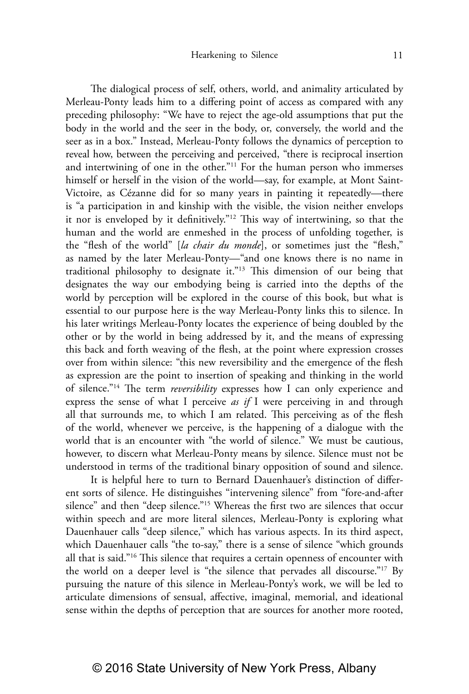The dialogical process of self, others, world, and animality articulated by Merleau-Ponty leads him to a differing point of access as compared with any preceding philosophy: "We have to reject the age-old assumptions that put the body in the world and the seer in the body, or, conversely, the world and the seer as in a box." Instead, Merleau-Ponty follows the dynamics of perception to reveal how, between the perceiving and perceived, "there is reciprocal insertion and intertwining of one in the other."<sup>11</sup> For the human person who immerses himself or herself in the vision of the world—say, for example, at Mont Saint-Victoire, as Cézanne did for so many years in painting it repeatedly—there is "a participation in and kinship with the visible, the vision neither envelops it nor is enveloped by it definitively."12 This way of intertwining, so that the human and the world are enmeshed in the process of unfolding together, is the "flesh of the world" [*la chair du monde*], or sometimes just the "flesh," as named by the later Merleau-Ponty—"and one knows there is no name in traditional philosophy to designate it."13 This dimension of our being that designates the way our embodying being is carried into the depths of the world by perception will be explored in the course of this book, but what is essential to our purpose here is the way Merleau-Ponty links this to silence. In his later writings Merleau-Ponty locates the experience of being doubled by the other or by the world in being addressed by it, and the means of expressing this back and forth weaving of the flesh, at the point where expression crosses over from within silence: "this new reversibility and the emergence of the flesh as expression are the point to insertion of speaking and thinking in the world of silence."14 The term *reversibility* expresses how I can only experience and express the sense of what I perceive *as if* I were perceiving in and through all that surrounds me, to which I am related. This perceiving as of the flesh of the world, whenever we perceive, is the happening of a dialogue with the world that is an encounter with "the world of silence." We must be cautious, however, to discern what Merleau-Ponty means by silence. Silence must not be understood in terms of the traditional binary opposition of sound and silence.

It is helpful here to turn to Bernard Dauenhauer's distinction of different sorts of silence. He distinguishes "intervening silence" from "fore-and-after silence" and then "deep silence."<sup>15</sup> Whereas the first two are silences that occur within speech and are more literal silences, Merleau-Ponty is exploring what Dauenhauer calls "deep silence," which has various aspects. In its third aspect, which Dauenhauer calls "the to-say," there is a sense of silence "which grounds" all that is said."16 This silence that requires a certain openness of encounter with the world on a deeper level is "the silence that pervades all discourse."17 By pursuing the nature of this silence in Merleau-Ponty's work, we will be led to articulate dimensions of sensual, affective, imaginal, memorial, and ideational sense within the depths of perception that are sources for another more rooted,